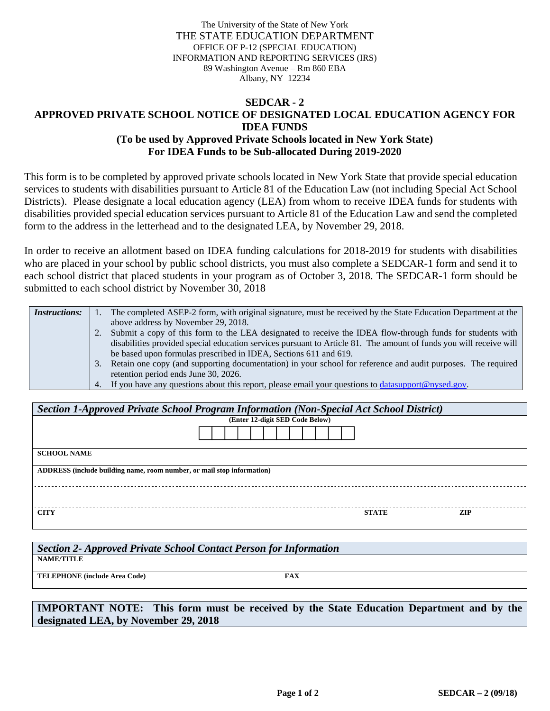The University of the State of New York THE STATE EDUCATION DEPARTMENT OFFICE OF P-12 (SPECIAL EDUCATION) INFORMATION AND REPORTING SERVICES (IRS) 89 Washington Avenue – Rm 860 EBA Albany, NY 12234

## **SEDCAR - 2 APPROVED PRIVATE SCHOOL NOTICE OF DESIGNATED LOCAL EDUCATION AGENCY FOR IDEA FUNDS (To be used by Approved Private Schools located in New York State) For IDEA Funds to be Sub-allocated During 2019-2020**

This form is to be completed by approved private schools located in New York State that provide special education services to students with disabilities pursuant to Article 81 of the Education Law (not including Special Act School Districts). Please designate a local education agency (LEA) from whom to receive IDEA funds for students with disabilities provided special education services pursuant to Article 81 of the Education Law and send the completed form to the address in the letterhead and to the designated LEA, by November 29, 2018.

In order to receive an allotment based on IDEA funding calculations for 2018-2019 for students with disabilities who are placed in your school by public school districts, you must also complete a SEDCAR-1 form and send it to each school district that placed students in your program as of October 3, 2018. The SEDCAR-1 form should be submitted to each school district by November 30, 2018

| <i>Instructions:</i> | The completed ASEP-2 form, with original signature, must be received by the State Education Department at the      |
|----------------------|--------------------------------------------------------------------------------------------------------------------|
|                      | above address by November 29, 2018.                                                                                |
|                      | Submit a copy of this form to the LEA designated to receive the IDEA flow-through funds for students with          |
|                      | disabilities provided special education services pursuant to Article 81. The amount of funds you will receive will |
|                      | be based upon formulas prescribed in IDEA, Sections 611 and 619.                                                   |
|                      | Retain one copy (and supporting documentation) in your school for reference and audit purposes. The required       |
|                      | retention period ends June 30, 2026.                                                                               |
|                      | 4. If you have any questions about this report, please email your questions to datasupport@nysed.gov.              |

| Section 1-Approved Private School Program Information (Non-Special Act School District) |              |            |  |  |  |  |  |
|-----------------------------------------------------------------------------------------|--------------|------------|--|--|--|--|--|
| (Enter 12-digit SED Code Below)                                                         |              |            |  |  |  |  |  |
|                                                                                         |              |            |  |  |  |  |  |
| <b>SCHOOL NAME</b>                                                                      |              |            |  |  |  |  |  |
| ADDRESS (include building name, room number, or mail stop information)                  |              |            |  |  |  |  |  |
|                                                                                         |              |            |  |  |  |  |  |
| <b>CITY</b>                                                                             | <b>STATE</b> | <b>ZIP</b> |  |  |  |  |  |

| Section 2- Approved Private School Contact Person for Information |            |  |  |  |  |
|-------------------------------------------------------------------|------------|--|--|--|--|
| <b>NAME/TITLE</b>                                                 |            |  |  |  |  |
| <b>TELEPHONE</b> (include Area Code)                              | <b>FAX</b> |  |  |  |  |
|                                                                   |            |  |  |  |  |

**IMPORTANT NOTE: This form must be received by the State Education Department and by the designated LEA, by November 29, 2018**